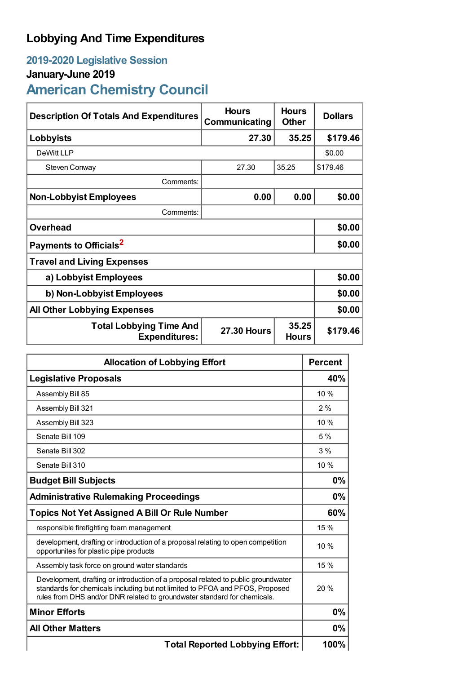# **Lobbying And Time Expenditures**

## **2019-2020 Legislative Session**

## **January-June 2019**

# **American Chemistry Council**

| Description Of Totals And Expenditures                                                                | <b>Hours</b><br>Communicating | <b>Hours</b><br><b>Other</b> | <b>Dollars</b> |  |
|-------------------------------------------------------------------------------------------------------|-------------------------------|------------------------------|----------------|--|
| Lobbyists                                                                                             | 27.30                         | 35.25                        | \$179.46       |  |
| DeWitt LLP                                                                                            |                               |                              | \$0.00         |  |
| Steven Conway                                                                                         | 27.30                         | 35.25                        | \$179.46       |  |
| Comments:                                                                                             |                               |                              |                |  |
| <b>Non-Lobbyist Employees</b>                                                                         | 0.00                          | 0.00                         | \$0.00         |  |
| Comments:                                                                                             |                               |                              |                |  |
| <b>Overhead</b>                                                                                       |                               |                              | \$0.00         |  |
| Payments to Officials <sup>2</sup>                                                                    |                               |                              | \$0.00         |  |
| <b>Travel and Living Expenses</b>                                                                     |                               |                              |                |  |
| a) Lobbyist Employees                                                                                 |                               |                              | \$0.00         |  |
| b) Non-Lobbyist Employees                                                                             |                               |                              | \$0.00         |  |
| <b>All Other Lobbying Expenses</b>                                                                    |                               |                              | \$0.00         |  |
| 35.25<br><b>Total Lobbying Time And</b><br><b>27.30 Hours</b><br><b>Expenditures:</b><br><b>Hours</b> |                               | \$179.46                     |                |  |

| <b>Allocation of Lobbying Effort</b>                                                                                                                                                                                                          |      |
|-----------------------------------------------------------------------------------------------------------------------------------------------------------------------------------------------------------------------------------------------|------|
| <b>Legislative Proposals</b>                                                                                                                                                                                                                  |      |
| Assembly Bill 85                                                                                                                                                                                                                              | 10 % |
| Assembly Bill 321                                                                                                                                                                                                                             | 2%   |
| Assembly Bill 323                                                                                                                                                                                                                             | 10 % |
| Senate Bill 109                                                                                                                                                                                                                               | 5%   |
| Senate Bill 302                                                                                                                                                                                                                               | 3%   |
| Senate Bill 310                                                                                                                                                                                                                               | 10 % |
| <b>Budget Bill Subjects</b>                                                                                                                                                                                                                   | 0%   |
| <b>Administrative Rulemaking Proceedings</b>                                                                                                                                                                                                  | 0%   |
| <b>Topics Not Yet Assigned A Bill Or Rule Number</b>                                                                                                                                                                                          |      |
| responsible firefighting foam management                                                                                                                                                                                                      | 15%  |
| development, drafting or introduction of a proposal relating to open competition<br>opportunites for plastic pipe products                                                                                                                    | 10%  |
| Assembly task force on ground water standards                                                                                                                                                                                                 | 15 % |
| Development, drafting or introduction of a proposal related to public groundwater<br>standards for chemicals including but not limited to PFOA and PFOS, Proposed<br>rules from DHS and/or DNR related to groundwater standard for chemicals. | 20%  |
| <b>Minor Efforts</b>                                                                                                                                                                                                                          | 0%   |
| <b>All Other Matters</b>                                                                                                                                                                                                                      |      |
| <b>Total Reported Lobbying Effort:</b>                                                                                                                                                                                                        | 100% |